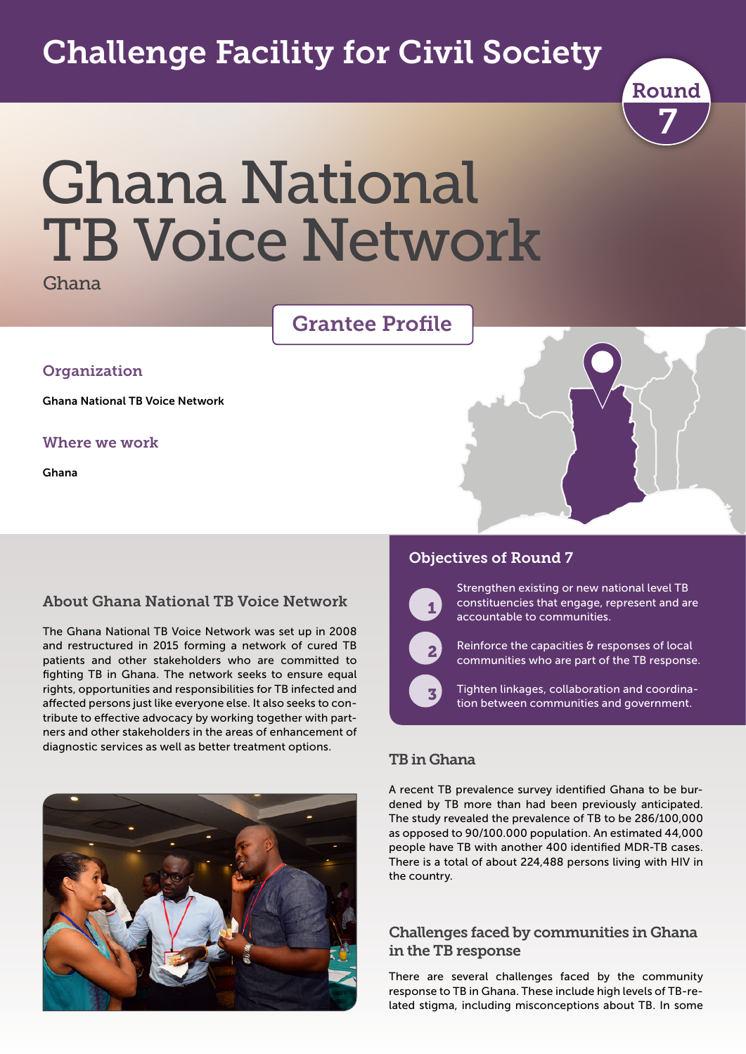# Challenge Facility for Civil Society



# Ghana National TB Voice Network

Ghana

## Grantee Profile

#### **Organization**

Ghana National TB Voice Network

#### Where we work

Ghana

#### About Ghana National TB Voice Network

The Ghana National TB Voice Network was set up in 2008 and restructured in 2015 forming a network of cured TB patients and other stakeholders who are committed to fighting TB in Ghana. The network seeks to ensure equal rights, opportunities and responsibilities for TB infected and affected persons just like everyone else. It also seeks to contribute to effective advocacy by working together with partners and other stakeholders in the areas of enhancement of diagnostic services as well as better treatment options.



#### Objectives of Round 7



Strengthen existing or new national level TB constituencies that engage, represent and are accountable to communities.



 $\overline{\phantom{a}}$ 

Reinforce the capacities & responses of local communities who are part of the TB response.

Tighten linkages, collaboration and coordination between communities and government.

#### TB in Ghana

A recent TB prevalence survey identified Ghana to be burdened by TB more than had been previously anticipated. The study revealed the prevalence of TB to be 286/100,000 as opposed to 90/100.000 population. An estimated 44,000 people have TB with another 400 identified MDR-TB cases. There is a total of about 224,488 persons living with HIV in the country.

#### Challenges faced by communities in Ghana in the TB response

There are several challenges faced by the community response to TB in Ghana. These include high levels of TB-related stigma, including misconceptions about TB. In some